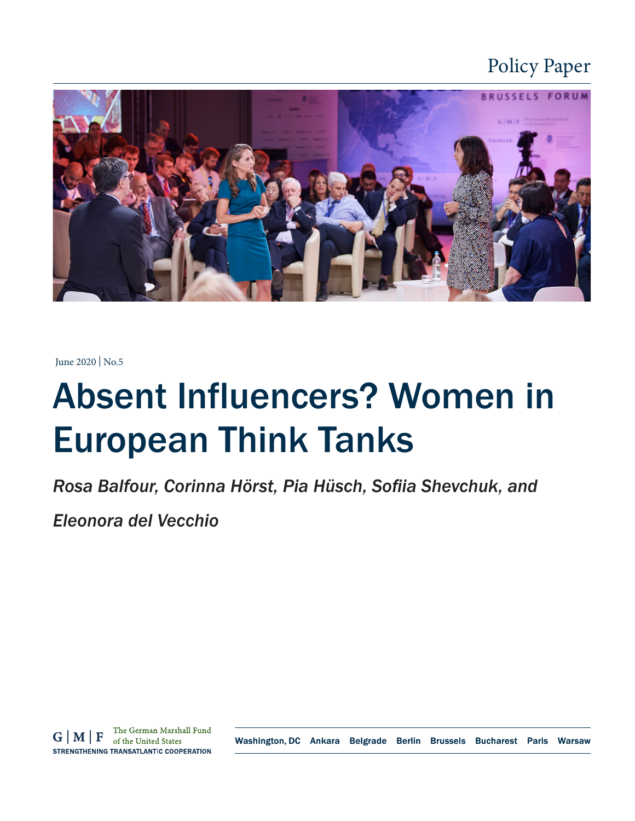### Policy Paper



June 2020 | No.5

# Absent Influencers? Women in European Think Tanks

*Rosa Balfour, Corinna Hörst, Pia Hüsch, Sofiia Shevchuk, and* 

*Eleonora del Vecchio*

Washington, DC Ankara Belgrade Berlin Brussels Bucharest Paris Warsaw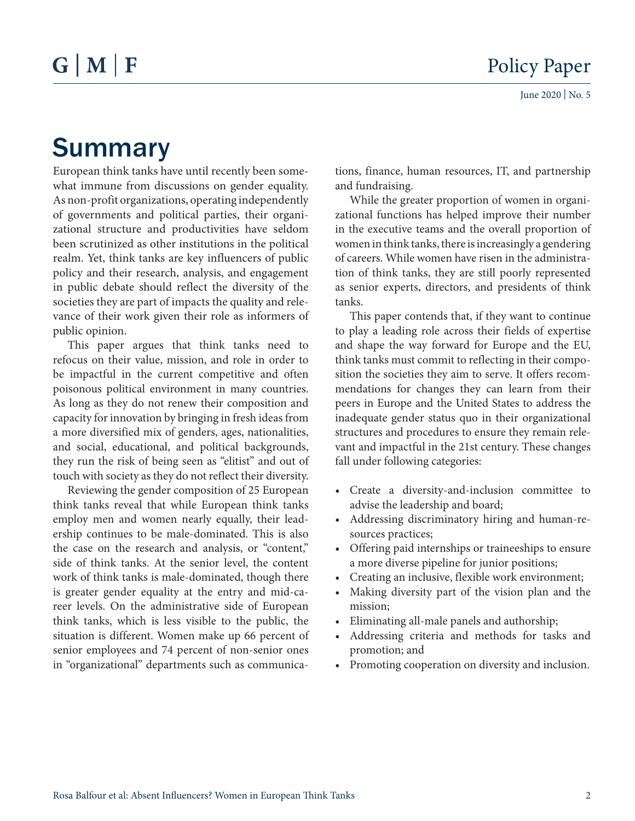## Summary

European think tanks have until recently been somewhat immune from discussions on gender equality. As non-profit organizations, operating independently of governments and political parties, their organizational structure and productivities have seldom been scrutinized as other institutions in the political realm. Yet, think tanks are key influencers of public policy and their research, analysis, and engagement in public debate should reflect the diversity of the societies they are part of impacts the quality and relevance of their work given their role as informers of public opinion.

This paper argues that think tanks need to refocus on their value, mission, and role in order to be impactful in the current competitive and often poisonous political environment in many countries. As long as they do not renew their composition and capacity for innovation by bringing in fresh ideas from a more diversified mix of genders, ages, nationalities, and social, educational, and political backgrounds, they run the risk of being seen as "elitist" and out of touch with society as they do not reflect their diversity.

Reviewing the gender composition of 25 European think tanks reveal that while European think tanks employ men and women nearly equally, their leadership continues to be male-dominated. This is also the case on the research and analysis, or "content," side of think tanks. At the senior level, the content work of think tanks is male-dominated, though there is greater gender equality at the entry and mid-career levels. On the administrative side of European think tanks, which is less visible to the public, the situation is different. Women make up 66 percent of senior employees and 74 percent of non-senior ones in "organizational" departments such as communications, finance, human resources, IT, and partnership and fundraising.

While the greater proportion of women in organizational functions has helped improve their number in the executive teams and the overall proportion of women in think tanks, there is increasingly a gendering of careers. While women have risen in the administration of think tanks, they are still poorly represented as senior experts, directors, and presidents of think tanks.

This paper contends that, if they want to continue to play a leading role across their fields of expertise and shape the way forward for Europe and the EU, think tanks must commit to reflecting in their composition the societies they aim to serve. It offers recommendations for changes they can learn from their peers in Europe and the United States to address the inadequate gender status quo in their organizational structures and procedures to ensure they remain relevant and impactful in the 21st century. These changes fall under following categories:

- Create a diversity-and-inclusion committee to advise the leadership and board;
- Addressing discriminatory hiring and human-resources practices;
- Offering paid internships or traineeships to ensure a more diverse pipeline for junior positions;
- Creating an inclusive, flexible work environment;
- Making diversity part of the vision plan and the mission;
- Eliminating all-male panels and authorship;
- Addressing criteria and methods for tasks and promotion; and
- Promoting cooperation on diversity and inclusion.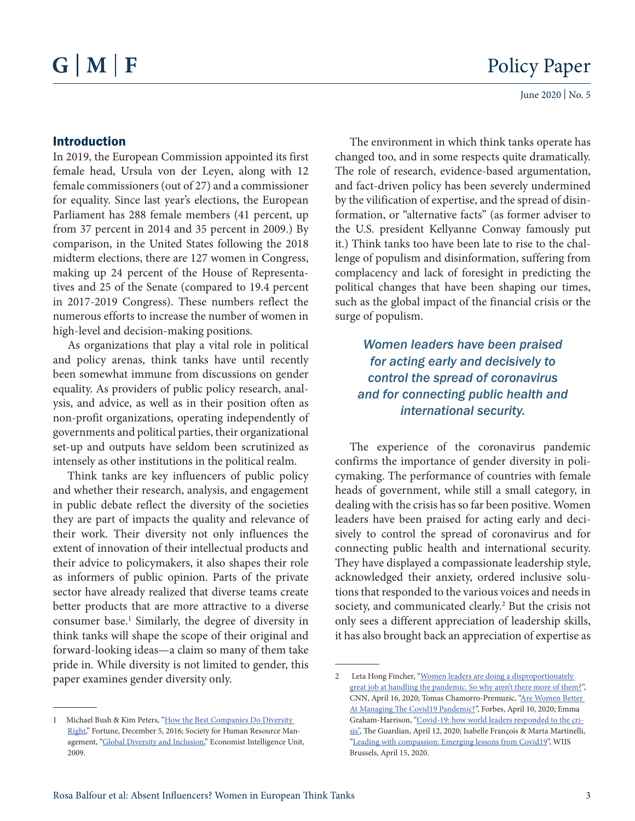#### Introduction

In 2019, the European Commission appointed its first female head, Ursula von der Leyen, along with 12 female commissioners (out of 27) and a commissioner for equality. Since last year's elections, the European Parliament has 288 female members (41 percent, up from 37 percent in 2014 and 35 percent in 2009.) By comparison, in the United States following the 2018 midterm elections, there are 127 women in Congress, making up 24 percent of the House of Representatives and 25 of the Senate (compared to 19.4 percent in 2017-2019 Congress). These numbers reflect the numerous efforts to increase the number of women in high-level and decision-making positions.

As organizations that play a vital role in political and policy arenas, think tanks have until recently been somewhat immune from discussions on gender equality. As providers of public policy research, analysis, and advice, as well as in their position often as non-profit organizations, operating independently of governments and political parties, their organizational set-up and outputs have seldom been scrutinized as intensely as other institutions in the political realm.

Think tanks are key influencers of public policy and whether their research, analysis, and engagement in public debate reflect the diversity of the societies they are part of impacts the quality and relevance of their work. Their diversity not only influences the extent of innovation of their intellectual products and their advice to policymakers, it also shapes their role as informers of public opinion. Parts of the private sector have already realized that diverse teams create better products that are more attractive to a diverse consumer base.<sup>1</sup> Similarly, the degree of diversity in think tanks will shape the scope of their original and forward-looking ideas—a claim so many of them take pride in. While diversity is not limited to gender, this paper examines gender diversity only.

The environment in which think tanks operate has changed too, and in some respects quite dramatically. The role of research, evidence-based argumentation, and fact-driven policy has been severely undermined by the vilification of expertise, and the spread of disinformation, or "alternative facts" (as former adviser to the U.S. president Kellyanne Conway famously put it.) Think tanks too have been late to rise to the challenge of populism and disinformation, suffering from complacency and lack of foresight in predicting the political changes that have been shaping our times, such as the global impact of the financial crisis or the surge of populism.

*Women leaders have been praised for acting early and decisively to control the spread of coronavirus and for connecting public health and international security.* 

The experience of the coronavirus pandemic confirms the importance of gender diversity in policymaking. The performance of countries with female heads of government, while still a small category, in dealing with the crisis has so far been positive. Women leaders have been praised for acting early and decisively to control the spread of coronavirus and for connecting public health and international security. They have displayed a compassionate leadership style, acknowledged their anxiety, ordered inclusive solutions that responded to the various voices and needs in society, and communicated clearly.<sup>2</sup> But the crisis not only sees a different appreciation of leadership skills, it has also brought back an appreciation of expertise as

<sup>1</sup> Michael Bush & Kim Peters, "How the Best Companies Do Diversity [Right,](https://fortune.com/2016/12/05/diversity-inclusion-workplaces/)" Fortune, December 5, 2016; Society for Human Resource Man-agement, ["Global Diversity and Inclusion,](http://graphics.eiu.com/upload/eb/DiversityandInclusion.pdf)" Economist Intelligence Unit, 2009.

<sup>2</sup> Leta Hong Fincher, "Women leaders are doing a disproportionately [great job at handling the pandemic. So why aren't there more of them?](https://edition.cnn.com/2020/04/14/asia/women-government-leaders-coronavirus-hnk-intl/index.html)", CNN, April 16, 2020; Tomas Chamorro-Premuzic, ["Are Women Better](https://www.forbes.com/sites/tomaspremuzic/2020/04/10/are-female-leaders-better-at-managing-the-covid19-pandemic/#157787f328d4)  [At Managing The Covid19 Pandemic?"](https://www.forbes.com/sites/tomaspremuzic/2020/04/10/are-female-leaders-better-at-managing-the-covid19-pandemic/#157787f328d4), Forbes, April 10, 2020; Emma Graham-Harrison, ["Covid-19: how world leaders responded to the cri](https://www.theguardian.com/world/2020/apr/12/covid-19-how-world-leaders-responded-to-the-crisis)[sis",](https://www.theguardian.com/world/2020/apr/12/covid-19-how-world-leaders-responded-to-the-crisis) The Guardian, April 12, 2020; Isabelle François & Marta Martinelli, ["Leading with compassion: Emerging lessons from Covid19"](https://www.wiis-brussels.org/post/leading-with-compassion-emerging-lessons-from-covid19), WIIS Brussels, April 15, 2020.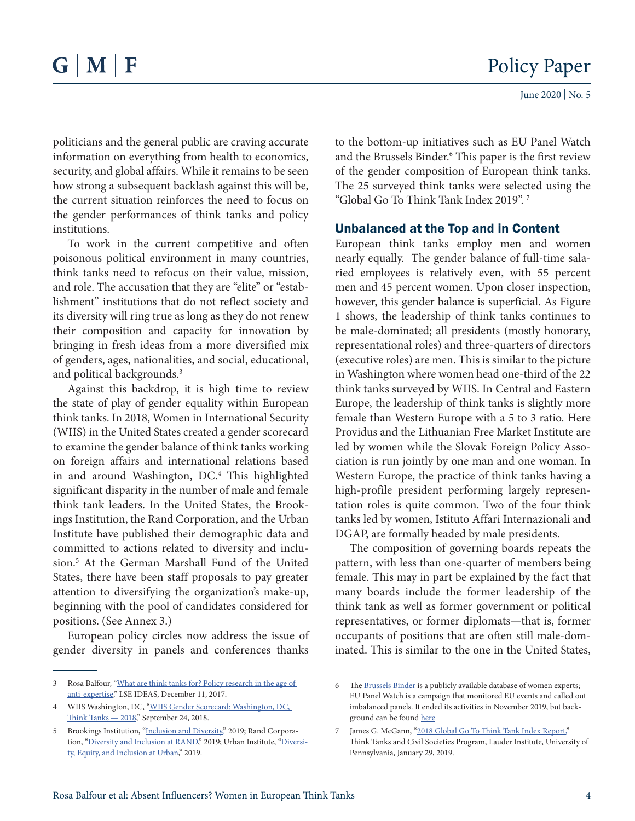politicians and the general public are craving accurate information on everything from health to economics, security, and global affairs. While it remains to be seen how strong a subsequent backlash against this will be, the current situation reinforces the need to focus on the gender performances of think tanks and policy institutions.

To work in the current competitive and often poisonous political environment in many countries, think tanks need to refocus on their value, mission, and role. The accusation that they are "elite" or "establishment" institutions that do not reflect society and its diversity will ring true as long as they do not renew their composition and capacity for innovation by bringing in fresh ideas from a more diversified mix of genders, ages, nationalities, and social, educational, and political backgrounds.<sup>3</sup>

Against this backdrop, it is high time to review the state of play of gender equality within European think tanks. In 2018, Women in International Security (WIIS) in the United States created a gender scorecard to examine the gender balance of think tanks working on foreign affairs and international relations based in and around Washington, DC.4 This highlighted significant disparity in the number of male and female think tank leaders. In the United States, the Brookings Institution, the Rand Corporation, and the Urban Institute have published their demographic data and committed to actions related to diversity and inclusion.5 At the German Marshall Fund of the United States, there have been staff proposals to pay greater attention to diversifying the organization's make-up, beginning with the pool of candidates considered for positions. (See Annex 3.)

European policy circles now address the issue of gender diversity in panels and conferences thanks

to the bottom-up initiatives such as EU Panel Watch and the Brussels Binder.<sup>6</sup> This paper is the first review of the gender composition of European think tanks. The 25 surveyed think tanks were selected using the "Global Go To Think Tank Index 2019". 7

### Unbalanced at the Top and in Content

European think tanks employ men and women nearly equally. The gender balance of full-time salaried employees is relatively even, with 55 percent men and 45 percent women. Upon closer inspection, however, this gender balance is superficial. As Figure 1 shows, the leadership of think tanks continues to be male-dominated; all presidents (mostly honorary, representational roles) and three-quarters of directors (executive roles) are men. This is similar to the picture in Washington where women head one-third of the 22 think tanks surveyed by WIIS. In Central and Eastern Europe, the leadership of think tanks is slightly more female than Western Europe with a 5 to 3 ratio. Here Providus and the Lithuanian Free Market Institute are led by women while the Slovak Foreign Policy Association is run jointly by one man and one woman. In Western Europe, the practice of think tanks having a high-profile president performing largely representation roles is quite common. Two of the four think tanks led by women, Istituto Affari Internazionali and DGAP, are formally headed by male presidents.

The composition of governing boards repeats the pattern, with less than one-quarter of members being female. This may in part be explained by the fact that many boards include the former leadership of the think tank as well as former government or political representatives, or former diplomats—that is, former occupants of positions that are often still male-dominated. This is similar to the one in the United States,

<sup>3</sup> Rosa Balfour, "[What are think tanks for? Policy research in the age of](https://medium.com/@lseideas/what-are-think-tanks-for-policy-research-in-the-age-of-anti-expertise-d7d8131fff45)  [anti-expertise](https://medium.com/@lseideas/what-are-think-tanks-for-policy-research-in-the-age-of-anti-expertise-d7d8131fff45)," LSE IDEAS, December 11, 2017.

<sup>4</sup> WIIS Washington, DC, ["WIIS Gender Scorecard: Washington, DC,](https://www.wiisglobal.org/programs/gender-scorecard-initiative/wiis-gender-scorecard-washington-dc-think-tanks-2018/)  [Think Tanks — 2018](https://www.wiisglobal.org/programs/gender-scorecard-initiative/wiis-gender-scorecard-washington-dc-think-tanks-2018/)," September 24, 2018.

<sup>5</sup> Brookings Institution, ["Inclusion and Diversity,](https://www.brookings.edu/interactives/inclusion-and-diversity/)" 2019; Rand Corpora-tion, ["Diversity and Inclusion at RAND,](https://www.rand.org/about/diversity.html)" 2019; Urban Institute, ["Diversi](https://www.urban.org/aboutus/why-urban/diversity-equity-and-inclusion-urban)[ty, Equity, and Inclusion at Urban](https://www.urban.org/aboutus/why-urban/diversity-equity-and-inclusion-urban)," 2019.

<sup>6</sup> The [Brussels Binder i](http://www.brusselsbinder.org/)s a publicly available database of women experts; EU Panel Watch is a campaign that monitored EU events and called out imbalanced panels. It ended its activities in November 2019, but background can be found [here](https://medium.com/@info_1315)

<sup>7</sup> James G. McGann, ["2018 Global Go To Think Tank Index Report,](https://repository.upenn.edu/think_tanks/16/)" Think Tanks and Civil Societies Program, Lauder Institute, University of Pennsylvania, January 29, 2019.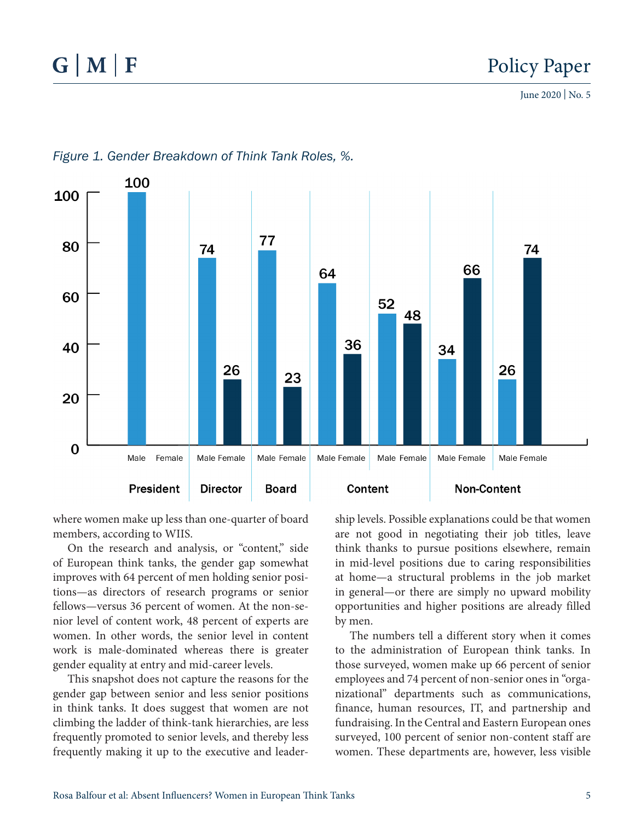

### *Figure 1. Gender Breakdown of Think Tank Roles, %.*

where women make up less than one-quarter of board members, according to WIIS.

On the research and analysis, or "content," side of European think tanks, the gender gap somewhat improves with 64 percent of men holding senior positions—as directors of research programs or senior fellows—versus 36 percent of women. At the non-senior level of content work, 48 percent of experts are women. In other words, the senior level in content work is male-dominated whereas there is greater gender equality at entry and mid-career levels.

This snapshot does not capture the reasons for the gender gap between senior and less senior positions in think tanks. It does suggest that women are not climbing the ladder of think-tank hierarchies, are less frequently promoted to senior levels, and thereby less frequently making it up to the executive and leadership levels. Possible explanations could be that women are not good in negotiating their job titles, leave think thanks to pursue positions elsewhere, remain in mid-level positions due to caring responsibilities at home—a structural problems in the job market in general—or there are simply no upward mobility opportunities and higher positions are already filled by men.

The numbers tell a different story when it comes to the administration of European think tanks. In those surveyed, women make up 66 percent of senior employees and 74 percent of non-senior ones in "organizational" departments such as communications, finance, human resources, IT, and partnership and fundraising. In the Central and Eastern European ones surveyed, 100 percent of senior non-content staff are women. These departments are, however, less visible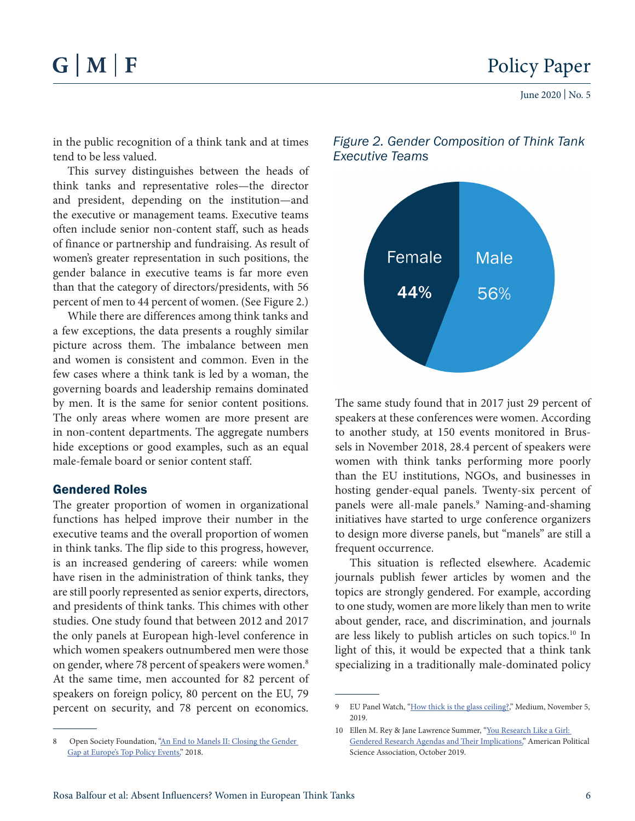## $G|M|F$

June 2020 | No. 5

in the public recognition of a think tank and at times tend to be less valued.

This survey distinguishes between the heads of think tanks and representative roles—the director and president, depending on the institution—and the executive or management teams. Executive teams often include senior non-content staff, such as heads of finance or partnership and fundraising. As result of women's greater representation in such positions, the gender balance in executive teams is far more even than that the category of directors/presidents, with 56 percent of men to 44 percent of women. (See Figure 2.)

While there are differences among think tanks and a few exceptions, the data presents a roughly similar picture across them. The imbalance between men and women is consistent and common. Even in the few cases where a think tank is led by a woman, the governing boards and leadership remains dominated by men. It is the same for senior content positions. The only areas where women are more present are in non-content departments. The aggregate numbers hide exceptions or good examples, such as an equal male-female board or senior content staff.

#### Gendered Roles

The greater proportion of women in organizational functions has helped improve their number in the executive teams and the overall proportion of women in think tanks. The flip side to this progress, however, is an increased gendering of careers: while women have risen in the administration of think tanks, they are still poorly represented as senior experts, directors, and presidents of think tanks. This chimes with other studies. One study found that between 2012 and 2017 the only panels at European high-level conference in which women speakers outnumbered men were those on gender, where 78 percent of speakers were women.<sup>8</sup> At the same time, men accounted for 82 percent of speakers on foreign policy, 80 percent on the EU, 79 percent on security, and 78 percent on economics.



*Figure 2. Gender Composition of Think Tank Executive Teams*

The same study found that in 2017 just 29 percent of speakers at these conferences were women. According to another study, at 150 events monitored in Brussels in November 2018, 28.4 percent of speakers were women with think tanks performing more poorly than the EU institutions, NGOs, and businesses in hosting gender-equal panels. Twenty-six percent of panels were all-male panels.<sup>9</sup> Naming-and-shaming initiatives have started to urge conference organizers to design more diverse panels, but "manels" are still a frequent occurrence.

This situation is reflected elsewhere. Academic journals publish fewer articles by women and the topics are strongly gendered. For example, according to one study, women are more likely than men to write about gender, race, and discrimination, and journals are less likely to publish articles on such topics.10 In light of this, it would be expected that a think tank specializing in a traditionally male-dominated policy

Open Society Foundation, "An End to Manels II: Closing the Gender [Gap at Europe's Top Policy Events,"](https://www.opensocietyfoundations.org/uploads/aea89320-53da-44ff-8c7a-aa570793b118/an-end-to-manels-II-20181105.pdf) 2018.

<sup>9</sup> EU Panel Watch, ["How thick is the glass ceiling?](https://medium.com/@info_1315/how-thick-is-the-glass-ceiling-c72a866642ef)," Medium, November 5, 2019.

<sup>10</sup> Ellen M. Rey & Jane Lawrence Summer, ["You Research Like a Girl:](https://www.cambridge.org/core/journals/ps-political-science-and-politics/article/you-research-like-a-girl-gendered-research-agendas-and-their-implications/6017F061B759D870183FC6D8A71C1DCF)  [Gendered Research Agendas and Their Implications,](https://www.cambridge.org/core/journals/ps-political-science-and-politics/article/you-research-like-a-girl-gendered-research-agendas-and-their-implications/6017F061B759D870183FC6D8A71C1DCF)" American Political Science Association, October 2019.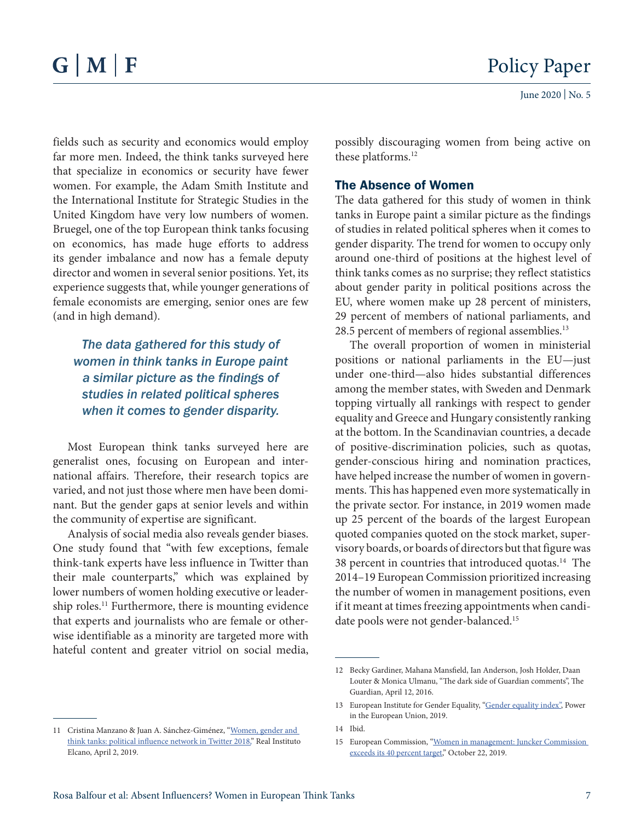fields such as security and economics would employ far more men. Indeed, the think tanks surveyed here that specialize in economics or security have fewer women. For example, the Adam Smith Institute and the International Institute for Strategic Studies in the United Kingdom have very low numbers of women. Bruegel, one of the top European think tanks focusing on economics, has made huge efforts to address its gender imbalance and now has a female deputy director and women in several senior positions. Yet, its experience suggests that, while younger generations of female economists are emerging, senior ones are few (and in high demand).

*The data gathered for this study of women in think tanks in Europe paint a similar picture as the findings of studies in related political spheres when it comes to gender disparity.* 

Most European think tanks surveyed here are generalist ones, focusing on European and international affairs. Therefore, their research topics are varied, and not just those where men have been dominant. But the gender gaps at senior levels and within the community of expertise are significant.

Analysis of social media also reveals gender biases. One study found that "with few exceptions, female think-tank experts have less influence in Twitter than their male counterparts," which was explained by lower numbers of women holding executive or leadership roles.<sup>11</sup> Furthermore, there is mounting evidence that experts and journalists who are female or otherwise identifiable as a minority are targeted more with hateful content and greater vitriol on social media,

possibly discouraging women from being active on these platforms.<sup>12</sup>

#### The Absence of Women

The data gathered for this study of women in think tanks in Europe paint a similar picture as the findings of studies in related political spheres when it comes to gender disparity. The trend for women to occupy only around one-third of positions at the highest level of think tanks comes as no surprise; they reflect statistics about gender parity in political positions across the EU, where women make up 28 percent of ministers, 29 percent of members of national parliaments, and 28.5 percent of members of regional assemblies.<sup>13</sup>

The overall proportion of women in ministerial positions or national parliaments in the EU—just under one-third—also hides substantial differences among the member states, with Sweden and Denmark topping virtually all rankings with respect to gender equality and Greece and Hungary consistently ranking at the bottom. In the Scandinavian countries, a decade of positive-discrimination policies, such as quotas, gender-conscious hiring and nomination practices, have helped increase the number of women in governments. This has happened even more systematically in the private sector. For instance, in 2019 women made up 25 percent of the boards of the largest European quoted companies quoted on the stock market, supervisory boards, or boards of directors but that figure was 38 percent in countries that introduced quotas.<sup>14</sup> The 2014–19 European Commission prioritized increasing the number of women in management positions, even if it meant at times freezing appointments when candidate pools were not gender-balanced.<sup>15</sup>

<sup>11</sup> Cristina Manzano & Juan A. Sánchez-Giménez, ["Women, gender and](http://www.realinstitutoelcano.org/wps/wcm/connect/bf891223-deaf-4454-8719-50d5c12adc1c/ARI38-2019-Manzano-Sanchez-Women-gender-think-tanks-political-influence-network-Twitter-2018.pdf?MOD=AJPERES&CACHEID=bf891223-deaf-4454-8719-50d5c12adc1c)  [think tanks: political influence network in Twitter 2018,"](http://www.realinstitutoelcano.org/wps/wcm/connect/bf891223-deaf-4454-8719-50d5c12adc1c/ARI38-2019-Manzano-Sanchez-Women-gender-think-tanks-political-influence-network-Twitter-2018.pdf?MOD=AJPERES&CACHEID=bf891223-deaf-4454-8719-50d5c12adc1c) Real Instituto Elcano, April 2, 2019.

<sup>12</sup> Becky Gardiner, Mahana Mansfield, Ian Anderson, Josh Holder, Daan Louter & Monica Ulmanu, "The dark side of Guardian comments", The Guardian, April 12, 2016.

<sup>13</sup> European Institute for Gender Equality, ["Gender equality index"](https://eige.europa.eu/gender-equality-index/2019/domain/power), Power in the European Union, 2019.

<sup>14</sup> Ibid.

<sup>15</sup> European Commission, "[Women in management: Juncker Commission](https://ec.europa.eu/commission/presscorner/detail/en/IP_19_6139)  [exceeds its 40 percent target,](https://ec.europa.eu/commission/presscorner/detail/en/IP_19_6139)" October 22, 2019.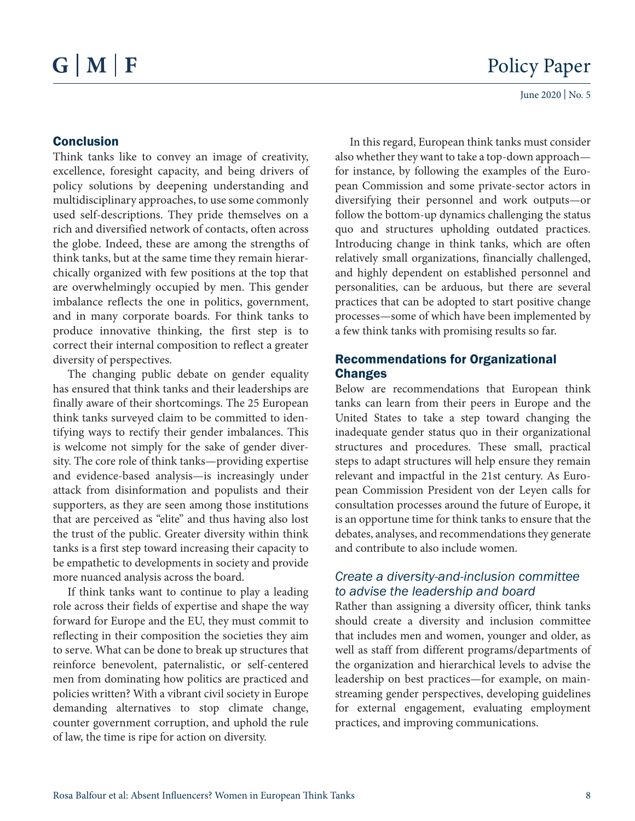#### Conclusion

Think tanks like to convey an image of creativity, excellence, foresight capacity, and being drivers of policy solutions by deepening understanding and multidisciplinary approaches, to use some commonly used self-descriptions. They pride themselves on a rich and diversified network of contacts, often across the globe. Indeed, these are among the strengths of think tanks, but at the same time they remain hierarchically organized with few positions at the top that are overwhelmingly occupied by men. This gender imbalance reflects the one in politics, government, and in many corporate boards. For think tanks to produce innovative thinking, the first step is to correct their internal composition to reflect a greater diversity of perspectives.

The changing public debate on gender equality has ensured that think tanks and their leaderships are finally aware of their shortcomings. The 25 European think tanks surveyed claim to be committed to identifying ways to rectify their gender imbalances. This is welcome not simply for the sake of gender diversity. The core role of think tanks—providing expertise and evidence-based analysis—is increasingly under attack from disinformation and populists and their supporters, as they are seen among those institutions that are perceived as "elite" and thus having also lost the trust of the public. Greater diversity within think tanks is a first step toward increasing their capacity to be empathetic to developments in society and provide more nuanced analysis across the board.

If think tanks want to continue to play a leading role across their fields of expertise and shape the way forward for Europe and the EU, they must commit to reflecting in their composition the societies they aim to serve. What can be done to break up structures that reinforce benevolent, paternalistic, or self-centered men from dominating how politics are practiced and policies written? With a vibrant civil society in Europe demanding alternatives to stop climate change, counter government corruption, and uphold the rule of law, the time is ripe for action on diversity.

In this regard, European think tanks must consider also whether they want to take a top-down approach for instance, by following the examples of the European Commission and some private-sector actors in diversifying their personnel and work outputs—or follow the bottom-up dynamics challenging the status quo and structures upholding outdated practices. Introducing change in think tanks, which are often relatively small organizations, financially challenged, and highly dependent on established personnel and personalities, can be arduous, but there are several practices that can be adopted to start positive change processes—some of which have been implemented by a few think tanks with promising results so far.

#### Recommendations for Organizational **Changes**

Below are recommendations that European think tanks can learn from their peers in Europe and the United States to take a step toward changing the inadequate gender status quo in their organizational structures and procedures. These small, practical steps to adapt structures will help ensure they remain relevant and impactful in the 21st century. As European Commission President von der Leyen calls for consultation processes around the future of Europe, it is an opportune time for think tanks to ensure that the debates, analyses, and recommendations they generate and contribute to also include women.

### *Create a diversity-and-inclusion committee to advise the leadership and board*

Rather than assigning a diversity officer, think tanks should create a diversity and inclusion committee that includes men and women, younger and older, as well as staff from different programs/departments of the organization and hierarchical levels to advise the leadership on best practices—for example, on mainstreaming gender perspectives, developing guidelines for external engagement, evaluating employment practices, and improving communications.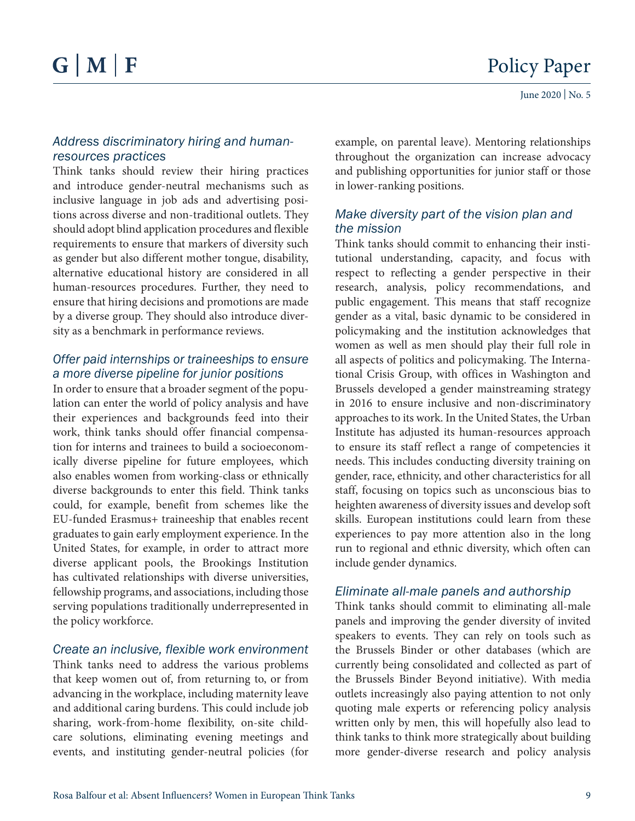#### *Address discriminatory hiring and humanresources practices*

Think tanks should review their hiring practices and introduce gender-neutral mechanisms such as inclusive language in job ads and advertising positions across diverse and non-traditional outlets. They should adopt blind application procedures and flexible requirements to ensure that markers of diversity such as gender but also different mother tongue, disability, alternative educational history are considered in all human-resources procedures. Further, they need to ensure that hiring decisions and promotions are made by a diverse group. They should also introduce diversity as a benchmark in performance reviews.

### *Offer paid internships or traineeships to ensure a more diverse pipeline for junior positions*

In order to ensure that a broader segment of the population can enter the world of policy analysis and have their experiences and backgrounds feed into their work, think tanks should offer financial compensation for interns and trainees to build a socioeconomically diverse pipeline for future employees, which also enables women from working-class or ethnically diverse backgrounds to enter this field. Think tanks could, for example, benefit from schemes like the EU-funded Erasmus+ traineeship that enables recent graduates to gain early employment experience. In the United States, for example, in order to attract more diverse applicant pools, the Brookings Institution has cultivated relationships with diverse universities, fellowship programs, and associations, including those serving populations traditionally underrepresented in the policy workforce.

### *Create an inclusive, flexible work environment*

Think tanks need to address the various problems that keep women out of, from returning to, or from advancing in the workplace, including maternity leave and additional caring burdens. This could include job sharing, work-from-home flexibility, on-site childcare solutions, eliminating evening meetings and events, and instituting gender-neutral policies (for example, on parental leave). Mentoring relationships throughout the organization can increase advocacy and publishing opportunities for junior staff or those in lower-ranking positions.

### *Make diversity part of the vision plan and the mission*

Think tanks should commit to enhancing their institutional understanding, capacity, and focus with respect to reflecting a gender perspective in their research, analysis, policy recommendations, and public engagement. This means that staff recognize gender as a vital, basic dynamic to be considered in policymaking and the institution acknowledges that women as well as men should play their full role in all aspects of politics and policymaking. The International Crisis Group, with offices in Washington and Brussels developed a gender mainstreaming strategy in 2016 to ensure inclusive and non-discriminatory approaches to its work. In the United States, the Urban Institute has adjusted its human-resources approach to ensure its staff reflect a range of competencies it needs. This includes conducting diversity training on gender, race, ethnicity, and other characteristics for all staff, focusing on topics such as unconscious bias to heighten awareness of diversity issues and develop soft skills. European institutions could learn from these experiences to pay more attention also in the long run to regional and ethnic diversity, which often can include gender dynamics.

### *Eliminate all-male panels and authorship*

Think tanks should commit to eliminating all-male panels and improving the gender diversity of invited speakers to events. They can rely on tools such as the Brussels Binder or other databases (which are currently being consolidated and collected as part of the Brussels Binder Beyond initiative). With media outlets increasingly also paying attention to not only quoting male experts or referencing policy analysis written only by men, this will hopefully also lead to think tanks to think more strategically about building more gender-diverse research and policy analysis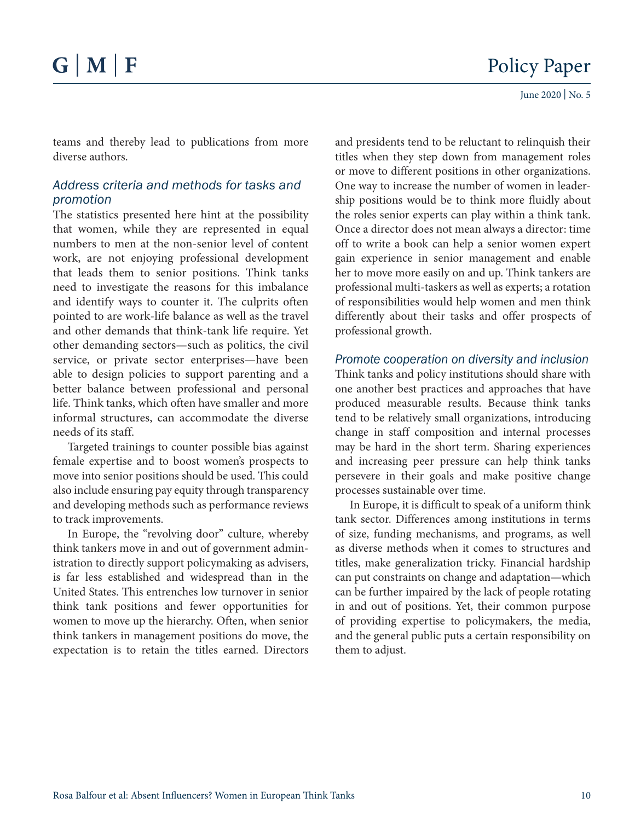teams and thereby lead to publications from more diverse authors.

#### *Address criteria and methods for tasks and promotion*

The statistics presented here hint at the possibility that women, while they are represented in equal numbers to men at the non-senior level of content work, are not enjoying professional development that leads them to senior positions. Think tanks need to investigate the reasons for this imbalance and identify ways to counter it. The culprits often pointed to are work-life balance as well as the travel and other demands that think-tank life require. Yet other demanding sectors—such as politics, the civil service, or private sector enterprises—have been able to design policies to support parenting and a better balance between professional and personal life. Think tanks, which often have smaller and more informal structures, can accommodate the diverse needs of its staff.

Targeted trainings to counter possible bias against female expertise and to boost women's prospects to move into senior positions should be used. This could also include ensuring pay equity through transparency and developing methods such as performance reviews to track improvements.

In Europe, the "revolving door" culture, whereby think tankers move in and out of government administration to directly support policymaking as advisers, is far less established and widespread than in the United States. This entrenches low turnover in senior think tank positions and fewer opportunities for women to move up the hierarchy. Often, when senior think tankers in management positions do move, the expectation is to retain the titles earned. Directors

and presidents tend to be reluctant to relinquish their titles when they step down from management roles or move to different positions in other organizations. One way to increase the number of women in leadership positions would be to think more fluidly about the roles senior experts can play within a think tank. Once a director does not mean always a director: time off to write a book can help a senior women expert gain experience in senior management and enable her to move more easily on and up. Think tankers are professional multi-taskers as well as experts; a rotation of responsibilities would help women and men think differently about their tasks and offer prospects of professional growth.

### *Promote cooperation on diversity and inclusion*

Think tanks and policy institutions should share with one another best practices and approaches that have produced measurable results. Because think tanks tend to be relatively small organizations, introducing change in staff composition and internal processes may be hard in the short term. Sharing experiences and increasing peer pressure can help think tanks persevere in their goals and make positive change processes sustainable over time.

In Europe, it is difficult to speak of a uniform think tank sector. Differences among institutions in terms of size, funding mechanisms, and programs, as well as diverse methods when it comes to structures and titles, make generalization tricky. Financial hardship can put constraints on change and adaptation—which can be further impaired by the lack of people rotating in and out of positions. Yet, their common purpose of providing expertise to policymakers, the media, and the general public puts a certain responsibility on them to adjust.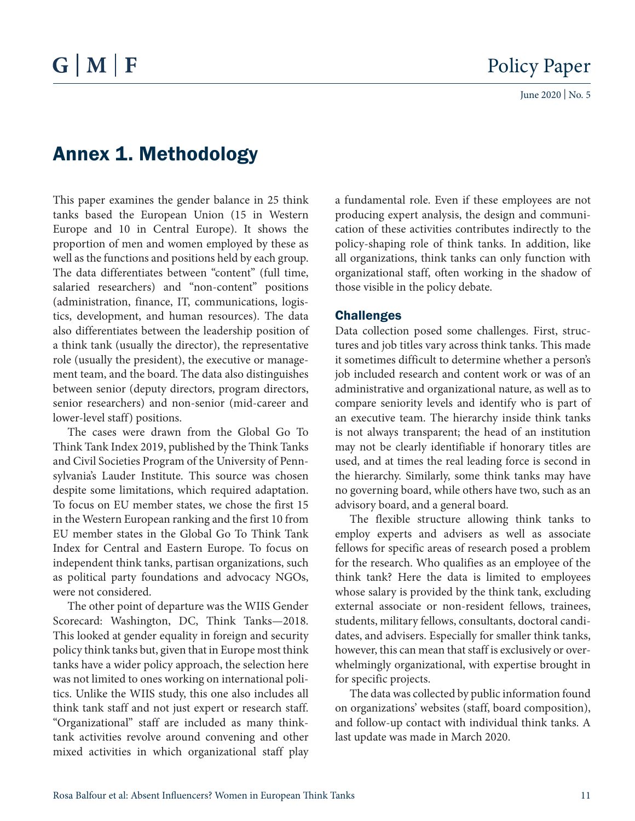### Annex 1. Methodology

This paper examines the gender balance in 25 think tanks based the European Union (15 in Western Europe and 10 in Central Europe). It shows the proportion of men and women employed by these as well as the functions and positions held by each group. The data differentiates between "content" (full time, salaried researchers) and "non-content" positions (administration, finance, IT, communications, logistics, development, and human resources). The data also differentiates between the leadership position of a think tank (usually the director), the representative role (usually the president), the executive or management team, and the board. The data also distinguishes between senior (deputy directors, program directors, senior researchers) and non-senior (mid-career and lower-level staff) positions.

The cases were drawn from the Global Go To Think Tank Index 2019, published by the Think Tanks and Civil Societies Program of the University of Pennsylvania's Lauder Institute. This source was chosen despite some limitations, which required adaptation. To focus on EU member states, we chose the first 15 in the Western European ranking and the first 10 from EU member states in the Global Go To Think Tank Index for Central and Eastern Europe. To focus on independent think tanks, partisan organizations, such as political party foundations and advocacy NGOs, were not considered.

The other point of departure was the WIIS Gender Scorecard: Washington, DC, Think Tanks—2018. This looked at gender equality in foreign and security policy think tanks but, given that in Europe most think tanks have a wider policy approach, the selection here was not limited to ones working on international politics. Unlike the WIIS study, this one also includes all think tank staff and not just expert or research staff. "Organizational" staff are included as many thinktank activities revolve around convening and other mixed activities in which organizational staff play a fundamental role. Even if these employees are not producing expert analysis, the design and communication of these activities contributes indirectly to the policy-shaping role of think tanks. In addition, like all organizations, think tanks can only function with organizational staff, often working in the shadow of those visible in the policy debate.

#### **Challenges**

Data collection posed some challenges. First, structures and job titles vary across think tanks. This made it sometimes difficult to determine whether a person's job included research and content work or was of an administrative and organizational nature, as well as to compare seniority levels and identify who is part of an executive team. The hierarchy inside think tanks is not always transparent; the head of an institution may not be clearly identifiable if honorary titles are used, and at times the real leading force is second in the hierarchy. Similarly, some think tanks may have no governing board, while others have two, such as an advisory board, and a general board.

The flexible structure allowing think tanks to employ experts and advisers as well as associate fellows for specific areas of research posed a problem for the research. Who qualifies as an employee of the think tank? Here the data is limited to employees whose salary is provided by the think tank, excluding external associate or non-resident fellows, trainees, students, military fellows, consultants, doctoral candidates, and advisers. Especially for smaller think tanks, however, this can mean that staff is exclusively or overwhelmingly organizational, with expertise brought in for specific projects.

The data was collected by public information found on organizations' websites (staff, board composition), and follow-up contact with individual think tanks. A last update was made in March 2020.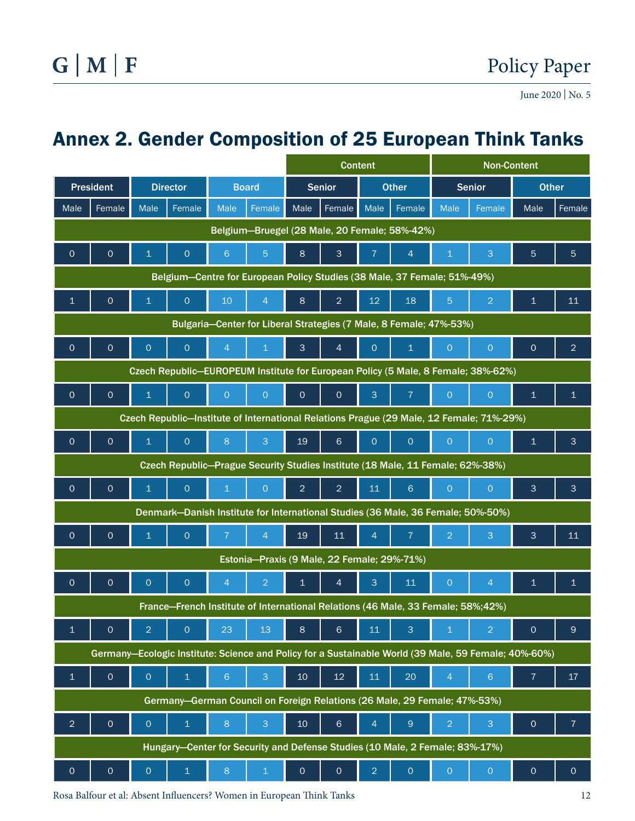### Annex 2. Gender Composition of 25 European Think Tanks

|                                                                                                      |                                     |                     |                     |                |                |                 | <b>Content</b>      |                |                     | <b>Non-Content</b> |                                                                                  |                     |                     |  |
|------------------------------------------------------------------------------------------------------|-------------------------------------|---------------------|---------------------|----------------|----------------|-----------------|---------------------|----------------|---------------------|--------------------|----------------------------------------------------------------------------------|---------------------|---------------------|--|
|                                                                                                      | <b>President</b><br><b>Director</b> |                     | <b>Board</b>        |                | <b>Senior</b>  |                 | <b>Other</b>        |                | <b>Senior</b>       |                    | <b>Other</b>                                                                     |                     |                     |  |
| Male                                                                                                 | Female                              | Male                | Female              | Male           | Female         | Male            | Female              | Male           | Female              | <b>Male</b>        | Female                                                                           | Male                | Female              |  |
| Belgium-Bruegel (28 Male, 20 Female; 58%-42%)                                                        |                                     |                     |                     |                |                |                 |                     |                |                     |                    |                                                                                  |                     |                     |  |
| $\overline{O}$                                                                                       | $\circ$                             | 1                   | $\circ$             | 6 <sup>°</sup> | $\overline{5}$ | 8               | $\mathbf{3}$        | $\overline{7}$ | $\overline{4}$      | $\mathbf 1$        | 3                                                                                | 5                   | 5                   |  |
| Belgium-Centre for European Policy Studies (38 Male, 37 Female; 51%-49%)                             |                                     |                     |                     |                |                |                 |                     |                |                     |                    |                                                                                  |                     |                     |  |
| $\mathbf{1}$                                                                                         | $\mathbf 0$                         | 1                   | $\circ$             | 10             | $\overline{4}$ | 8               | $\overline{2}$      | 12             | 18                  | $\overline{5}$     | $\overline{2}$                                                                   | 1                   | 11                  |  |
| Bulgaria-Center for Liberal Strategies (7 Male, 8 Female; 47%-53%)                                   |                                     |                     |                     |                |                |                 |                     |                |                     |                    |                                                                                  |                     |                     |  |
| $\overline{O}$                                                                                       | $\circ$                             | $\circ$             | $\circ$             | $\overline{4}$ | $\mathbf 1$    | 3               | $\overline{4}$      | $\circ$        | $\mathbf{1}$        | $\overline{O}$     | $\overline{O}$                                                                   | $\circ$             | $\overline{2}$      |  |
| Czech Republic-EUROPEUM Institute for European Policy (5 Male, 8 Female; 38%-62%)                    |                                     |                     |                     |                |                |                 |                     |                |                     |                    |                                                                                  |                     |                     |  |
| $\circ$                                                                                              | $\mathbf 0$                         | $\overline{1}$      | $\circ$             | $\overline{O}$ | $\overline{O}$ | $\overline{0}$  | $\circ$             | 3              | $\overline{7}$      | $\overline{O}$     | $\overline{O}$                                                                   | $\overline{1}$      | $\mathbf{1}$        |  |
| Czech Republic-Institute of International Relations Prague (29 Male, 12 Female; 71%-29%)             |                                     |                     |                     |                |                |                 |                     |                |                     |                    |                                                                                  |                     |                     |  |
| $\circ$                                                                                              | $\mathbf 0$                         | $\mathbf{1}$        | $\circ$             | 8              | 3              | 19              | 6                   | $\overline{O}$ | $\circ$             | $\mathsf O$        | $\circ$                                                                          | $\mathbf{1}$        | 3                   |  |
| Czech Republic-Prague Security Studies Institute (18 Male, 11 Female; 62%-38%)                       |                                     |                     |                     |                |                |                 |                     |                |                     |                    |                                                                                  |                     |                     |  |
| $\circ$                                                                                              | $\mathbf 0$                         | 1.                  | $\circ$             | $\mathbf{1}$   | $\circ$        | $\overline{2}$  | $\overline{2}$      | 11             | $6\phantom{a}$      | $\mathsf O$        | $\overline{0}$                                                                   | 3                   | 3                   |  |
|                                                                                                      |                                     |                     |                     |                |                |                 |                     |                |                     |                    | Denmark-Danish Institute for International Studies (36 Male, 36 Female; 50%-50%) |                     |                     |  |
| $\overline{O}$                                                                                       | $\circ$                             | $\mathbf{1}$        | $\circ$             | $\overline{7}$ | $\overline{4}$ | 19              | 11                  | $\overline{4}$ | $\overline{7}$      | $\overline{2}$     | 3                                                                                | 3                   | 11                  |  |
| Estonia-Praxis (9 Male, 22 Female; 29%-71%)                                                          |                                     |                     |                     |                |                |                 |                     |                |                     |                    |                                                                                  |                     |                     |  |
| $\mathbf{O}$                                                                                         | $\mathbf 0$                         | $\circ$             | $\circ$             | $\overline{4}$ | $\overline{2}$ | $\mathbf{1}$    | 4                   | 3              | 11                  | $\mathsf O$        | $\overline{4}$                                                                   | $\mathbf 1$         | $\mathbf{1}$        |  |
| France-French Institute of International Relations (46 Male, 33 Female; 58%;42%)                     |                                     |                     |                     |                |                |                 |                     |                |                     |                    |                                                                                  |                     |                     |  |
| $\overline{1}$                                                                                       | $\mathsf{O}\xspace$                 | $\overline{2}$      | $\mathsf{O}\xspace$ | 23             | 13             | 8               | $\,$ 6 $\,$         | 11             | $\mathbf{3}$        | $\mathbf 1$        | $\overline{2}$                                                                   | $\mathsf{O}\xspace$ | 9                   |  |
| Germany-Ecologic Institute: Science and Policy for a Sustainable World (39 Male, 59 Female; 40%-60%) |                                     |                     |                     |                |                |                 |                     |                |                     |                    |                                                                                  |                     |                     |  |
| $\mathbf 1$                                                                                          | $\overline{O}$                      | $\overline{O}$      | $\overline{1}$      | $6\phantom{a}$ | $\overline{3}$ | 10              | $12 \overline{ }$   | 11             | 20                  | $\overline{4}$     | $6\phantom{a}$                                                                   | $\overline{7}$      | 17 <sup>2</sup>     |  |
| Germany-German Council on Foreign Relations (26 Male, 29 Female; 47%-53%)                            |                                     |                     |                     |                |                |                 |                     |                |                     |                    |                                                                                  |                     |                     |  |
| $\overline{2}$                                                                                       | $\mathsf{O}\xspace$                 | $\circ$             | $\mathbf 1$         | 8              | $\overline{3}$ | 10 <sub>1</sub> | $\sqrt{6}$          | $\overline{4}$ | $9\,$               | $\overline{2}$     | 3                                                                                | $\mathsf{O}\xspace$ | $\overline{7}$      |  |
| Hungary-Center for Security and Defense Studies (10 Male, 2 Female; 83%-17%)                         |                                     |                     |                     |                |                |                 |                     |                |                     |                    |                                                                                  |                     |                     |  |
| $\mathsf{O}\xspace$                                                                                  | $\mathsf{O}\xspace$                 | $\mathsf{O}\xspace$ | $\mathbf 1$         | 8              | $\,1\,$        | $\circ$         | $\mathsf{O}\xspace$ | $\overline{2}$ | $\mathsf{O}\xspace$ | $\overline{O}$     | $\mathsf O$                                                                      | $\mathsf{O}\xspace$ | $\mathsf{O}\xspace$ |  |

Rosa Balfour et al: Absent Influencers? Women in European Think Tanks 12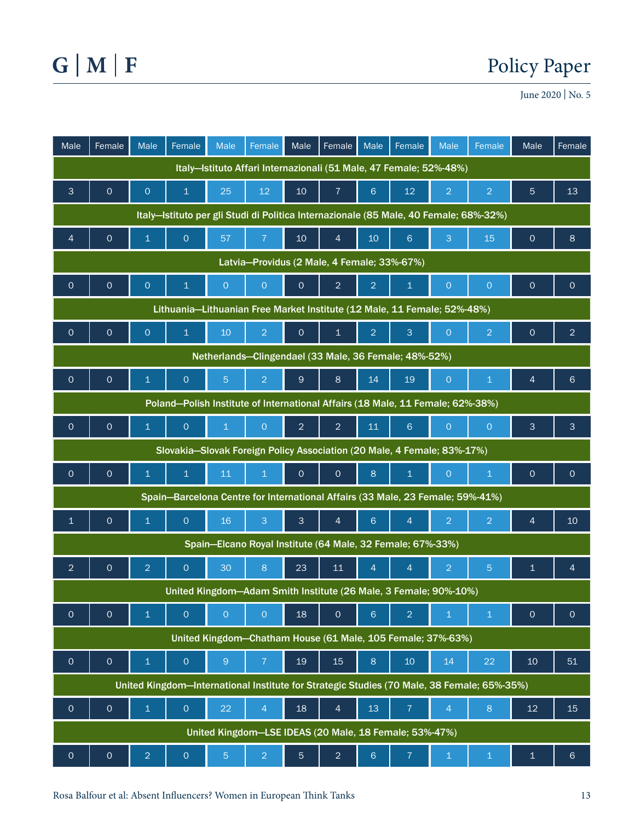### Policy Paper

June 2020 | No. 5

| Male                                                                                       | Female                                                 | <b>Male</b>             | Female                                                                         | Male            | Female         | Male            | Female          | Male            | Female                                                     | <b>Male</b>    | Female         | Male                | Female          |
|--------------------------------------------------------------------------------------------|--------------------------------------------------------|-------------------------|--------------------------------------------------------------------------------|-----------------|----------------|-----------------|-----------------|-----------------|------------------------------------------------------------|----------------|----------------|---------------------|-----------------|
| Italy-Istituto Affari Internazionali (51 Male, 47 Female; 52%-48%)                         |                                                        |                         |                                                                                |                 |                |                 |                 |                 |                                                            |                |                |                     |                 |
| 3                                                                                          | $\mathbf{O}$                                           | $\circ$                 | $\mathbf{1}$                                                                   | 25              | 12             | 10 <sup>°</sup> | $\overline{7}$  | 6               | 12                                                         | $\overline{2}$ | $\overline{2}$ | 5                   | 13              |
| Italy-Istituto per gli Studi di Politica Internazionale (85 Male, 40 Female; 68%-32%)      |                                                        |                         |                                                                                |                 |                |                 |                 |                 |                                                            |                |                |                     |                 |
| $\overline{4}$                                                                             | $\circ$                                                | $\overline{1}$          | $\circ$                                                                        | 57              | $\overline{7}$ | $10$            | $\overline{4}$  | 10 <sup>°</sup> | $6\phantom{1}$                                             | 3              | 15             | $\circ$             | 8               |
| Latvia-Providus (2 Male, 4 Female; 33%-67%)                                                |                                                        |                         |                                                                                |                 |                |                 |                 |                 |                                                            |                |                |                     |                 |
| $\mathsf O$                                                                                | $\mathsf O$                                            | $\circ$                 | $\mathbf{1}$                                                                   | $\overline{O}$  | $\overline{O}$ | $\mathbf 0$     | $\overline{2}$  | $\overline{2}$  | $\mathbf{1}$                                               | $\circ$        | $\circ$        | $\mathbf 0$         | $\circ$         |
| Lithuania-Lithuanian Free Market Institute (12 Male, 11 Female; 52%-48%)                   |                                                        |                         |                                                                                |                 |                |                 |                 |                 |                                                            |                |                |                     |                 |
| $\mathbf{O}$                                                                               | $\mathsf{O}\xspace$                                    | $\circ$                 | $\mathbf{1}$                                                                   | 10 <sup>°</sup> | $\overline{2}$ | $\overline{O}$  | $\overline{1}$  | $\overline{2}$  | 3                                                          | $\overline{O}$ | $\overline{2}$ | $\mathbf 0$         | $\overline{2}$  |
| Netherlands-Clingendael (33 Male, 36 Female; 48%-52%)                                      |                                                        |                         |                                                                                |                 |                |                 |                 |                 |                                                            |                |                |                     |                 |
| $\mathbf{O}$                                                                               | $\mathsf{O}\xspace$                                    | $\mathbf{1}$            | $\mathsf O$                                                                    | $\overline{5}$  | $\overline{2}$ | $\mathsf{9}$    | $8\phantom{1}$  | 14              | 19                                                         | $\circ$        | $\mathbf{1}$   | 4                   | $6\phantom{1}$  |
| Poland-Polish Institute of International Affairs (18 Male, 11 Female; 62%-38%)             |                                                        |                         |                                                                                |                 |                |                 |                 |                 |                                                            |                |                |                     |                 |
| $\circ$                                                                                    | $\circ$                                                | $\mathbf{1}$            | $\circ$                                                                        | $\mathbf{1}$    | $\overline{O}$ | $\overline{2}$  | $\overline{2}$  | 11              | $6 \,$                                                     | $\overline{O}$ | $\circ$        | 3                   | 3               |
| Slovakia-Slovak Foreign Policy Association (20 Male, 4 Female; 83%-17%)                    |                                                        |                         |                                                                                |                 |                |                 |                 |                 |                                                            |                |                |                     |                 |
| $\circ$                                                                                    | $\mathsf{O}\xspace$                                    | $\mathbf{1}$            | $\mathbf 1$                                                                    | 11              | $\mathbf{1}$   | $\circ$         | $\circ$         | $\,8\,$         | $\mathbf{1}$                                               | $\circ$        | $\mathbf{1}$   | $\circ$             | $\circ$         |
|                                                                                            |                                                        |                         | Spain-Barcelona Centre for International Affairs (33 Male, 23 Female; 59%-41%) |                 |                |                 |                 |                 |                                                            |                |                |                     |                 |
| $\mathbf{1}$                                                                               | $\circ$                                                | $\mathbf{1}$            | $\mathsf O$                                                                    | 16              | 3              | 3               | $\overline{4}$  | 6               | $\overline{4}$                                             | $\overline{2}$ | $\overline{2}$ | $\overline{4}$      | 10 <sup>°</sup> |
|                                                                                            |                                                        |                         |                                                                                |                 |                |                 |                 |                 | Spain-Elcano Royal Institute (64 Male, 32 Female; 67%-33%) |                |                |                     |                 |
| $\overline{2}$                                                                             | $\mathbf{O}$                                           | $\overline{2}$          | $\circ$                                                                        | 30              | 8              | 23              | 11              | $\overline{4}$  | $\overline{4}$                                             | $\overline{2}$ | 5              | 1                   | 4               |
| United Kingdom-Adam Smith Institute (26 Male, 3 Female; 90%-10%)                           |                                                        |                         |                                                                                |                 |                |                 |                 |                 |                                                            |                |                |                     |                 |
| $\mathbf{O}$                                                                               | $\circ$                                                | $\mathbf{1}$            | $\overline{O}$                                                                 | $\overline{O}$  | $\overline{O}$ | 18              | $\circ$         | 6               | $\overline{2}$                                             | $\mathbf 1$    | $\mathbf{1}$   | $\mathsf{O}\xspace$ | $\circ$         |
| United Kingdom-Chatham House (61 Male, 105 Female; 37%-63%)                                |                                                        |                         |                                                                                |                 |                |                 |                 |                 |                                                            |                |                |                     |                 |
| $\mathsf{O}\xspace$                                                                        | $\mathsf{O}\xspace$                                    | $\mathbf{1}$            | $\mathsf{O}\xspace$                                                            | $\overline{9}$  | $\overline{7}$ | 19              | 15 <sub>2</sub> | $\bf 8$         | $10$                                                       | 14             | 22             | 10                  | 51              |
| United Kingdom-International Institute for Strategic Studies (70 Male, 38 Female; 65%-35%) |                                                        |                         |                                                                                |                 |                |                 |                 |                 |                                                            |                |                |                     |                 |
| $\mathsf O$                                                                                | $\mathsf{O}\xspace$                                    | $\overline{\mathbf{1}}$ | $\mathsf{O}\xspace$                                                            | 22              | $\overline{4}$ | 18              | $\overline{4}$  | 13              | $\overline{7}$                                             | $\overline{4}$ | $\,8\,$        | 12                  | 15              |
|                                                                                            | United Kingdom-LSE IDEAS (20 Male, 18 Female; 53%-47%) |                         |                                                                                |                 |                |                 |                 |                 |                                                            |                |                |                     |                 |
| $\mathsf O$                                                                                | $\mathsf{O}\xspace$                                    | $\overline{2}$          | $\mathsf{O}\xspace$                                                            | $\overline{5}$  | $\overline{2}$ | $\overline{5}$  | $\overline{a}$  | $\sqrt{6}$      | $\overline{7}$                                             | $\,$ 1 $\,$    | $\mathbf{1}$   | $\mathbf{1}$        | $6\phantom{1}$  |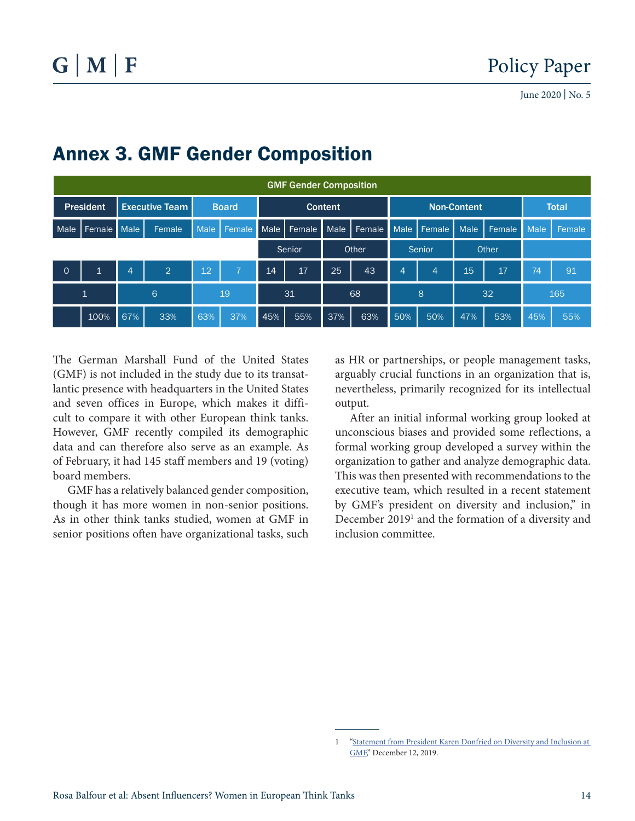| <b>GMF Gender Composition</b> |              |                       |                |              |                |        |        |                |        |                |                |                    |        |              |        |
|-------------------------------|--------------|-----------------------|----------------|--------------|----------------|--------|--------|----------------|--------|----------------|----------------|--------------------|--------|--------------|--------|
| <b>President</b>              |              | <b>Executive Team</b> |                | <b>Board</b> |                |        |        | <b>Content</b> |        |                |                | <b>Non-Content</b> |        | <b>Total</b> |        |
| Male                          | Female       | Male                  | Female         | Male         | Female Male    |        | Female | Male           | Female | <b>Male</b>    | Female         | <b>Male</b>        | Female | <b>Male</b>  | Female |
|                               |              |                       |                |              |                | Senior |        | Other          |        | <b>Senior</b>  |                | Other              |        |              |        |
| $\circ$                       | $\mathbf{1}$ | 4                     | $\overline{2}$ | 12           | $\overline{7}$ | 14     | 17     | 25             | 43     | $\overline{4}$ | $\overline{4}$ | 15                 | 17     | 74           | 91     |
| $\overline{1}$                |              | 6                     |                | 19           |                | 31     |        | 68             |        | 8              |                | 32                 |        | 165          |        |
|                               | 100%         | 67%                   | 33%            | 63%          | 37%            | 45%    | 55%    | 37%            | 63%    | 50%            | 50%            | 47%                | 53%    | 45%          | 55%    |

### Annex 3. GMF Gender Composition

The German Marshall Fund of the United States (GMF) is not included in the study due to its transatlantic presence with headquarters in the United States and seven offices in Europe, which makes it difficult to compare it with other European think tanks. However, GMF recently compiled its demographic data and can therefore also serve as an example. As of February, it had 145 staff members and 19 (voting) board members.

GMF has a relatively balanced gender composition, though it has more women in non-senior positions. As in other think tanks studied, women at GMF in senior positions often have organizational tasks, such

as HR or partnerships, or people management tasks, arguably crucial functions in an organization that is, nevertheless, primarily recognized for its intellectual output.

After an initial informal working group looked at unconscious biases and provided some reflections, a formal working group developed a survey within the organization to gather and analyze demographic data. This was then presented with recommendations to the executive team, which resulted in a recent statement by GMF's president on diversity and inclusion," in December 2019<sup>1</sup> and the formation of a diversity and inclusion committee.

<sup>1 &</sup>quot;Statement from President Karen Donfried on Diversity and Inclusion at [GMF,](http://www.gmfus.org/press-releases/statement-president-karen-donfried-diversity-and-inclusion-gmf)" December 12, 2019.